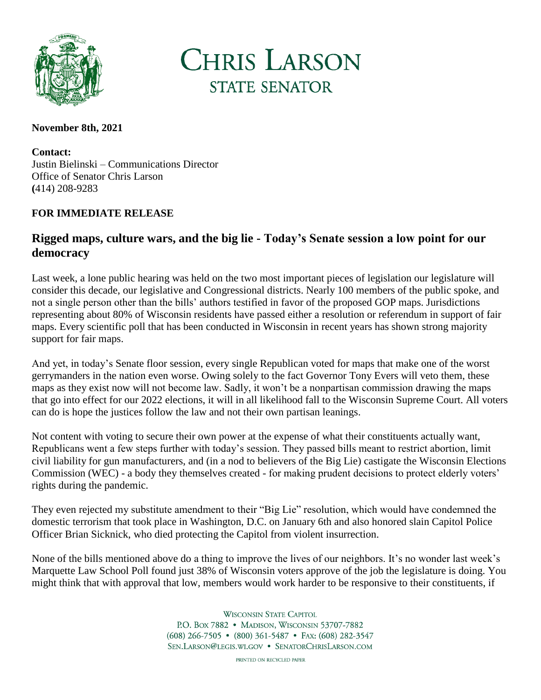

**CHRIS LARSON STATE SENATOR** 

## **November 8th, 2021**

**Contact:** Justin Bielinski – Communications Director Office of Senator Chris Larson **(**414) 208-9283

## **FOR IMMEDIATE RELEASE**

## **Rigged maps, culture wars, and the big lie - Today's Senate session a low point for our democracy**

Last week, a lone public hearing was held on the two most important pieces of legislation our legislature will consider this decade, our legislative and Congressional districts. Nearly 100 members of the public spoke, and not a single person other than the bills' authors testified in favor of the proposed GOP maps. Jurisdictions representing about 80% of Wisconsin residents have passed either a resolution or referendum in support of fair maps. Every scientific poll that has been conducted in Wisconsin in recent years has shown strong majority support for fair maps.

And yet, in today's Senate floor session, every single Republican voted for maps that make one of the worst gerrymanders in the nation even worse. Owing solely to the fact Governor Tony Evers will veto them, these maps as they exist now will not become law. Sadly, it won't be a nonpartisan commission drawing the maps that go into effect for our 2022 elections, it will in all likelihood fall to the Wisconsin Supreme Court. All voters can do is hope the justices follow the law and not their own partisan leanings.

Not content with voting to secure their own power at the expense of what their constituents actually want, Republicans went a few steps further with today's session. They passed bills meant to restrict abortion, limit civil liability for gun manufacturers, and (in a nod to believers of the Big Lie) castigate the Wisconsin Elections Commission (WEC) - a body they themselves created - for making prudent decisions to protect elderly voters' rights during the pandemic.

They even rejected my substitute amendment to their "Big Lie" resolution, which would have condemned the domestic terrorism that took place in Washington, D.C. on January 6th and also honored slain Capitol Police Officer Brian Sicknick, who died protecting the Capitol from violent insurrection.

None of the bills mentioned above do a thing to improve the lives of our neighbors. It's no wonder last week's Marquette Law School Poll found just 38% of Wisconsin voters approve of the job the legislature is doing. You might think that with approval that low, members would work harder to be responsive to their constituents, if

> **WISCONSIN STATE CAPITOL** P.O. Box 7882 • MADISON, WISCONSIN 53707-7882  $(608)$  266-7505 •  $(800)$  361-5487 • FAX:  $(608)$  282-3547 SEN.LARSON@LEGIS.WI.GOV . SENATORCHRISLARSON.COM

> > PRINTED ON RECYCLED PAPER